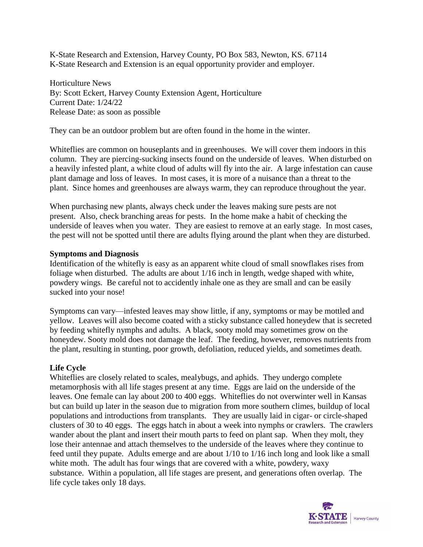K-State Research and Extension, Harvey County, PO Box 583, Newton, KS. 67114 K-State Research and Extension is an equal opportunity provider and employer.

Horticulture News By: Scott Eckert, Harvey County Extension Agent, Horticulture Current Date: 1/24/22 Release Date: as soon as possible

They can be an outdoor problem but are often found in the home in the winter.

Whiteflies are common on houseplants and in greenhouses. We will cover them indoors in this column. They are piercing-sucking insects found on the underside of leaves. When disturbed on a heavily infested plant, a white cloud of adults will fly into the air. A large infestation can cause plant damage and loss of leaves. In most cases, it is more of a nuisance than a threat to the plant. Since homes and greenhouses are always warm, they can reproduce throughout the year.

When purchasing new plants, always check under the leaves making sure pests are not present. Also, check branching areas for pests. In the home make a habit of checking the underside of leaves when you water. They are easiest to remove at an early stage. In most cases, the pest will not be spotted until there are adults flying around the plant when they are disturbed.

## **Symptoms and Diagnosis**

Identification of the whitefly is easy as an apparent white cloud of small snowflakes rises from foliage when disturbed. The adults are about 1/16 inch in length, wedge shaped with white, powdery wings. Be careful not to accidently inhale one as they are small and can be easily sucked into your nose!

Symptoms can vary—infested leaves may show little, if any, symptoms or may be mottled and yellow. Leaves will also become coated with a sticky substance called honeydew that is secreted by feeding whitefly nymphs and adults. A black, sooty mold may sometimes grow on the honeydew. Sooty mold does not damage the leaf. The feeding, however, removes nutrients from the plant, resulting in stunting, poor growth, defoliation, reduced yields, and sometimes death.

## **Life Cycle**

Whiteflies are closely related to scales, mealybugs, and aphids. They undergo complete metamorphosis with all life stages present at any time. Eggs are laid on the underside of the leaves. One female can lay about 200 to 400 eggs. Whiteflies do not overwinter well in Kansas but can build up later in the season due to migration from more southern climes, buildup of local populations and introductions from transplants. They are usually laid in cigar- or circle-shaped clusters of 30 to 40 eggs. The eggs hatch in about a week into nymphs or crawlers. The crawlers wander about the plant and insert their mouth parts to feed on plant sap. When they molt, they lose their antennae and attach themselves to the underside of the leaves where they continue to feed until they pupate. Adults emerge and are about 1/10 to 1/16 inch long and look like a small white moth. The adult has four wings that are covered with a white, powdery, waxy substance. Within a population, all life stages are present, and generations often overlap. The life cycle takes only 18 days.